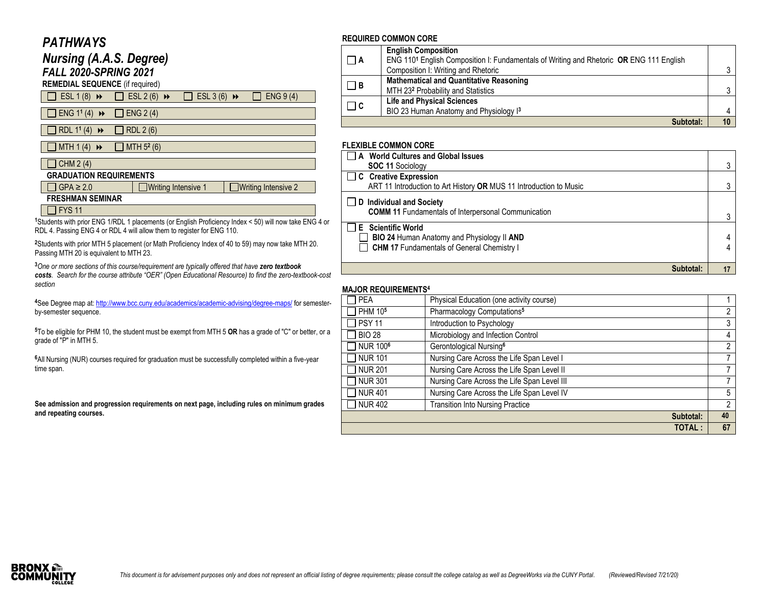## *PATHWAYS*

| <b>Nursing (A.A.S. Degree)</b><br><b>FALL 2020-SPRING 2021</b><br><b>REMEDIAL SEQUENCE</b> (if required) |                                                                  |  |  |  |  |
|----------------------------------------------------------------------------------------------------------|------------------------------------------------------------------|--|--|--|--|
| ESL $1(8)$ $\rightarrow$                                                                                 | ESL 3 (6) $\rightarrow$<br>ENG 9 (4)<br>ESL $2(6)$ $\rightarrow$ |  |  |  |  |
| ENG $1^1$ (4) $\rightarrow$                                                                              | ENG $2(4)$                                                       |  |  |  |  |
| RDL 1 <sup>1</sup> (4)<br>$\rightarrow$                                                                  | RDL 2 (6)                                                        |  |  |  |  |
| MTH $1(4)$<br>$\rightarrow$                                                                              | MTH 5 <sup>2</sup> (6)                                           |  |  |  |  |
| CHM 2 (4)                                                                                                |                                                                  |  |  |  |  |
| <b>GRADUATION REQUIREMENTS</b>                                                                           |                                                                  |  |  |  |  |
| $GPA \geq 2.0$                                                                                           | Writing Intensive 2<br>Writing Intensive 1                       |  |  |  |  |
| <b>FRESHMAN SEMINAR</b>                                                                                  |                                                                  |  |  |  |  |
| <b>FYS 11</b>                                                                                            |                                                                  |  |  |  |  |

**<sup>1</sup>**Students with prior ENG 1/RDL 1 placements (or English Proficiency Index < 50) will now take ENG 4 or RDL 4. Passing ENG 4 or RDL 4 will allow them to register for ENG 110.

**<sup>2</sup>**Students with prior MTH 5 placement (or Math Proficiency Index of 40 to 59) may now take MTH 20. Passing MTH 20 is equivalent to MTH 23.

**<sup>3</sup>***One or more sections of this course/requirement are typically offered that have zero textbook costs.* Search for the course attribute "OER" (Open Educational Resource) to find the zero-textbook-cost *section*

**<sup>4</sup>**See Degree map at[: http://www.bcc.cuny.edu/academics/academic-advising/degree-maps/](http://www.bcc.cuny.edu/academics/academic-advising/degree-maps/) for semesterby-semester sequence.

**<sup>5</sup>**To be eligible for PHM 10, the student must be exempt from MTH 5 **OR** has a grade of "C" or better, or a grade of "P" in MTH 5.

**<sup>6</sup>**All Nursing (NUR) courses required for graduation must be successfully completed within a five-year time span.

**See admission and progression requirements on next page, including rules on minimum grades and repeating courses.**

#### **REQUIRED COMMON CORE**

| $\Box$ A | <b>English Composition</b>                                                                          |  |
|----------|-----------------------------------------------------------------------------------------------------|--|
|          | ENG 110 <sup>1</sup> English Composition I: Fundamentals of Writing and Rhetoric OR ENG 111 English |  |
|          | Composition I: Writing and Rhetoric                                                                 |  |
| $\Box$ B | <b>Mathematical and Quantitative Reasoning</b>                                                      |  |
|          | MTH 232 Probability and Statistics                                                                  |  |
| $\Box$ c | <b>Life and Physical Sciences</b>                                                                   |  |
|          | BIO 23 Human Anatomy and Physiology I3                                                              |  |
|          | Subtotal:                                                                                           |  |

### **FLEXIBLE COMMON CORE**

| □ A World Cultures and Global Issues                                                          |  |
|-----------------------------------------------------------------------------------------------|--|
| <b>SOC 11 Sociology</b>                                                                       |  |
| <b>TC</b> Creative Expression                                                                 |  |
| ART 11 Introduction to Art History OR MUS 11 Introduction to Music                            |  |
| $\Box$ D Individual and Society<br><b>COMM 11 Fundamentals of Interpersonal Communication</b> |  |
| □ E Scientific World                                                                          |  |
| <b>BIO 24 Human Anatomy and Physiology II AND</b>                                             |  |
| <b>CHM 17 Fundamentals of General Chemistry I</b>                                             |  |
|                                                                                               |  |
| Subtotal:                                                                                     |  |

### **MAJOR REQUIREMENTS 4**

| <b>MAVOR REWORLDIEN I O</b> |                                             |    |  |
|-----------------------------|---------------------------------------------|----|--|
| <b>PEA</b>                  | Physical Education (one activity course)    |    |  |
| PHM 10 <sup>5</sup>         | Pharmacology Computations <sup>5</sup>      | 2  |  |
| <b>PSY 11</b>               | Introduction to Psychology                  | 3  |  |
| <b>BIO 28</b>               | Microbiology and Infection Control          | 4  |  |
| NUR 100 <sup>6</sup>        | Gerontological Nursing <sup>6</sup>         | 2  |  |
| <b>NUR 101</b>              | Nursing Care Across the Life Span Level I   | 7  |  |
| <b>NUR 201</b>              | Nursing Care Across the Life Span Level II  | 7  |  |
| <b>NUR 301</b>              | Nursing Care Across the Life Span Level III | 7  |  |
| <b>NUR 401</b>              | Nursing Care Across the Life Span Level IV  | 5  |  |
| <b>NUR 402</b>              | <b>Transition Into Nursing Practice</b>     | 2  |  |
|                             | Subtotal:                                   | 40 |  |
|                             | <b>TOTAL:</b>                               | 67 |  |